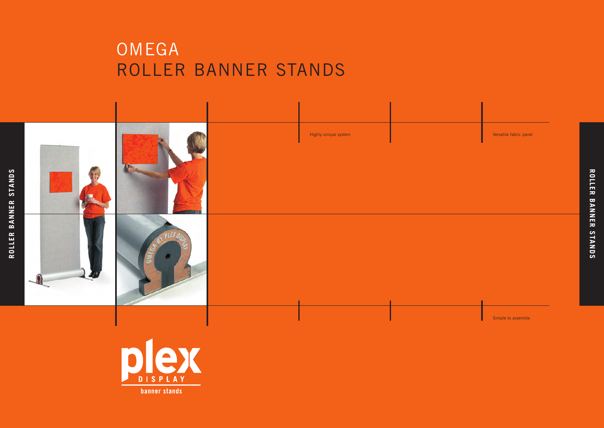## OMEGA ROLLER BANNER STANDS





**ROLLER** BANNE<br>BANNE **STANDS**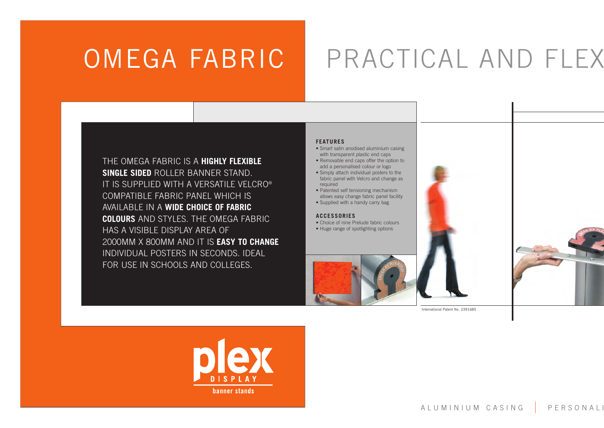# OMEGA FABRIC PRACTICAL AND FLEX

THE OMEGA FABRIC IS A **HIGHLY FLEXIBLE SINGLE SIDED** ROLLER BANNER STAND. IT IS SUPPLIED WITH A VERSATILE VELCRO® COMPATIBLE FABRIC PANEL WHICH IS AVAILABLE IN A **WIDE CHOICE OF FABRIC COLOURS** AND STYLES. THE OMEGA FABRIC HAS A VISIBLE DISPLAY AREA OF 2000MM X 800MM AND IT IS **EASY TO CHANGE** INDIVIDUAL POSTERS IN SECONDS. IDEAL FOR USE IN SCHOOLS AND COLLEGES.

#### **FEATURES**

- Smart satin anodised aluminium casing with transparent plastic end caps
- Removable end caps offer the option to add a personalised colour or logo
- Simply attach individual posters to the fabric panel with Velcro and change as required
- Patented self tensioning mechanism allows easy change fabric panel facility
- Supplied with a handy carry bag

#### **ACCESSORIES**

- Choice of nine Prelude fabric colours
- Huge range of spotlighting options





International Patent No. 2391685

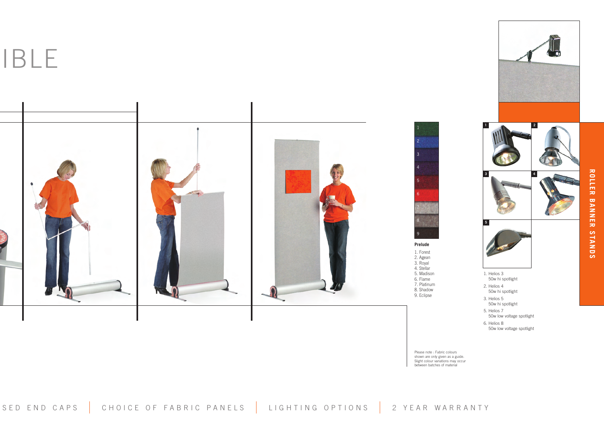**IBLE** 









8. Shadow 9. Eclipse

3. Helios 5 50w hi spotlight

1. Helios 3 50w hi spotlight 2. Helios 4 50w hi spotlight

**5**

5. Helios 7 50w low voltage spotlight 6. Helios 8

**1 2**

**3 4**

50w low voltage spotlight

Please note : Fabric colours shown are only given as a guide. Slight colour variations may occur between batches of material